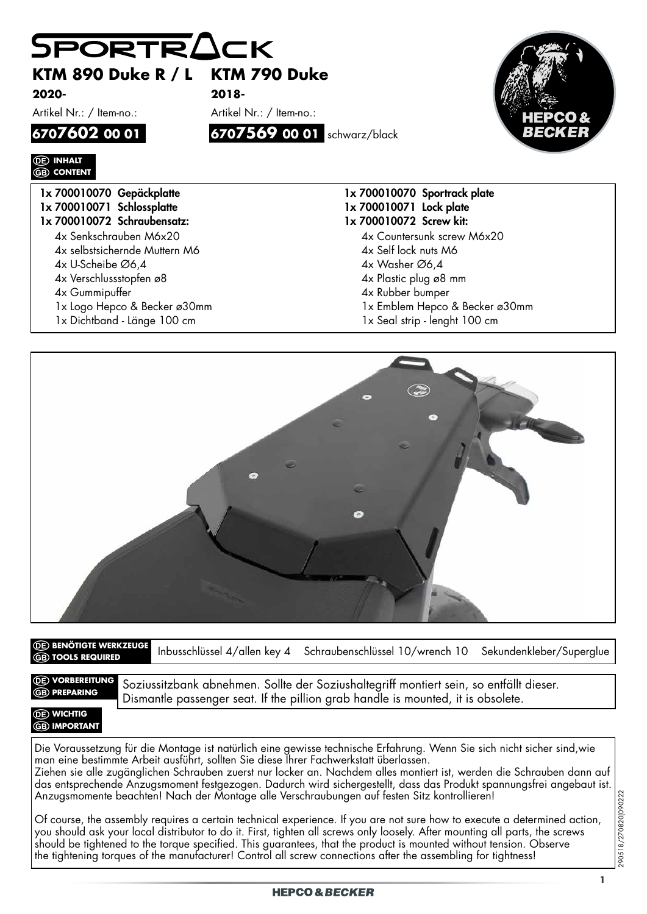|                                | KTM 890 Duke R / L KTM 790 Duke |                                |
|--------------------------------|---------------------------------|--------------------------------|
| 2020-                          | $2018 -$                        |                                |
| Artikel Nr.: / Item-no.:       | Artikel Nr.: / Item-no.:        |                                |
| 6707602 00 01                  | 6707569 00 01 schwarz/black     | ВЕСК                           |
| <b><i>CE</i></b> INHALT        |                                 |                                |
| <b>GB</b> CONTENT              |                                 |                                |
| 1x 700010070 Gepäckplatte      |                                 | 1x 700010070 Sportrack plate   |
| 1x 700010071 Schlossplatte     |                                 | 1x 700010071 Lock plate        |
| 1x 700010072 Schraubensatz:    |                                 | 1x 700010072 Screw kit:        |
| 4x Senkschrauben M6x20         |                                 | 4x Countersunk screw M6x20     |
| 4x selbstsichernde Muttern M6  |                                 | 4x Self lock nuts M6           |
| $4x$ U-Scheibe $\emptyset$ 6,4 |                                 | 4x Washer Ø6,4                 |
| 4x Verschlussstopfen ø8        |                                 | 4x Plastic plug ø8 mm          |
| 4x Gummipuffer                 |                                 | 4x Rubber bumper               |
|                                |                                 | 1x Emblem Hepco & Becker ø30mm |
| 1x Logo Hepco & Becker ø30mm   |                                 |                                |



Inbusschlüssel 4/allen key 4 Schraubenschlüssel 10/wrench 10 Sekundenkleber/Superglue **BENÖTIGTE WERKZEUGE TOOLS REQUIRED**

*<u>OE*</u> **VORBEREITUNG** 

**DE VORBEREITUNG** Soziussitzbank abnehmen. Sollte der Soziushaltegriff montiert sein, so entfällt dieser. Dismantle passenger seat. If the pillion grab handle is mounted, it is obsolete.

## *<b>OE* WICHTIG **GB** IMPORTANT

Die Voraussetzung für die Montage ist natürlich eine gewisse technische Erfahrung. Wenn Sie sich nicht sicher sind,wie man eine bestimmte Arbeit ausführt, sollten Sie diese Ihrer Fachwerkstatt überlassen. Ziehen sie alle zugänglichen Schrauben zuerst nur locker an. Nachdem alles montiert ist, werden die Schrauben dann auf Anzugsmomente beachten! Nach der Montage alle Verschraubungen auf festen Sitz kontrollieren!

das entsprechende Anzugsmoment festgezogen. Dadurch wird sichergestellt, dass das Produkt spannungsfrei angebaut ist.<br>Anzugsmomente beachten! Nach der Montage alle Verschraubungen auf festen Sitz kontrollieren!<br>Of course, Of course, the assembly requires a certain technical experience. If you are not sure how to execute a determined action, you should ask your local distributor to do it. First, tighten all screws only loosely. After mounting all parts, the screws should be tightened to the torque specified. This guarantees, that the product is mounted without tension. Observe the tightening torques of the manufacturer! Control all screw connections after the assembling for tightness!

290518/270820(090222